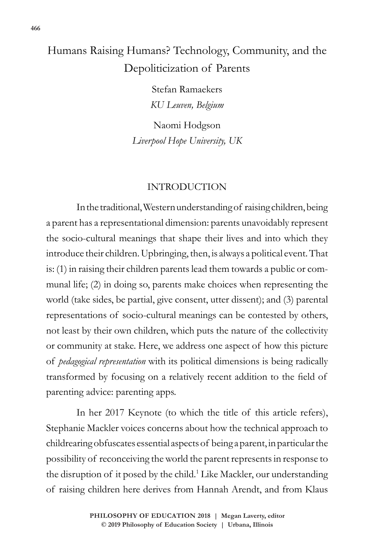# Humans Raising Humans? Technology, Community, and the Depoliticization of Parents

Stefan Ramaekers *KU Leuven, Belgium*

Naomi Hodgson *Liverpool Hope University, UK*

#### INTRODUCTION

In the traditional, Western understanding of raising children, being a parent has a representational dimension: parents unavoidably represent the socio-cultural meanings that shape their lives and into which they introduce their children. Upbringing, then, is always a political event. That is: (1) in raising their children parents lead them towards a public or communal life; (2) in doing so, parents make choices when representing the world (take sides, be partial, give consent, utter dissent); and (3) parental representations of socio-cultural meanings can be contested by others, not least by their own children, which puts the nature of the collectivity or community at stake. Here, we address one aspect of how this picture of *pedagogical representation* with its political dimensions is being radically transformed by focusing on a relatively recent addition to the field of parenting advice: parenting apps.

In her 2017 Keynote (to which the title of this article refers), Stephanie Mackler voices concerns about how the technical approach to childrearing obfuscates essential aspects of being a parent, in particular the possibility of reconceiving the world the parent represents in response to the disruption of it posed by the child.<sup>1</sup> Like Mackler, our understanding of raising children here derives from Hannah Arendt, and from Klaus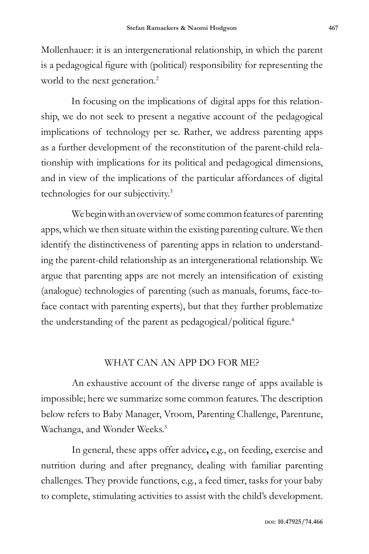Mollenhauer: it is an intergenerational relationship, in which the parent is a pedagogical figure with (political) responsibility for representing the world to the next generation.<sup>2</sup>

In focusing on the implications of digital apps for this relationship, we do not seek to present a negative account of the pedagogical implications of technology per se. Rather, we address parenting apps as a further development of the reconstitution of the parent-child relationship with implications for its political and pedagogical dimensions, and in view of the implications of the particular affordances of digital technologies for our subjectivity.3

We begin with an overview of some common features of parenting apps, which we then situate within the existing parenting culture. We then identify the distinctiveness of parenting apps in relation to understanding the parent-child relationship as an intergenerational relationship. We argue that parenting apps are not merely an intensification of existing (analogue) technologies of parenting (such as manuals, forums, face-toface contact with parenting experts), but that they further problematize the understanding of the parent as pedagogical/political figure.<sup>4</sup>

## WHAT CAN AN APP DO FOR ME?

An exhaustive account of the diverse range of apps available is impossible; here we summarize some common features. The description below refers to Baby Manager, Vroom, Parenting Challenge, Parentune, Wachanga, and Wonder Weeks.<sup>5</sup>

In general, these apps offer advice**,** e.g., on feeding, exercise and nutrition during and after pregnancy, dealing with familiar parenting challenges. They provide functions, e.g., a feed timer, tasks for your baby to complete, stimulating activities to assist with the child's development.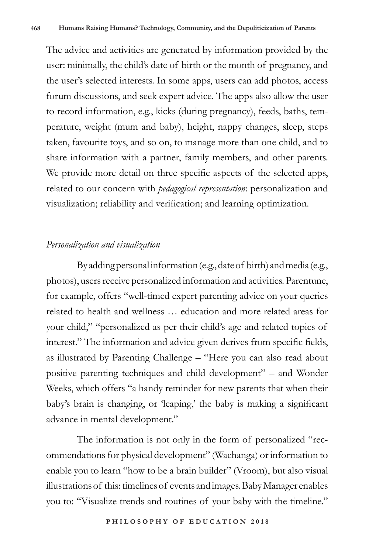The advice and activities are generated by information provided by the user: minimally, the child's date of birth or the month of pregnancy, and the user's selected interests. In some apps, users can add photos, access forum discussions, and seek expert advice. The apps also allow the user to record information, e.g., kicks (during pregnancy), feeds, baths, temperature, weight (mum and baby), height, nappy changes, sleep, steps taken, favourite toys, and so on, to manage more than one child, and to share information with a partner, family members, and other parents. We provide more detail on three specific aspects of the selected apps, related to our concern with *pedagogical representation*: personalization and visualization; reliability and verification; and learning optimization.

## *Personalization and visualization*

By adding personal information (e.g., date of birth) and media (e.g., photos), users receive personalized information and activities. Parentune, for example, offers "well-timed expert parenting advice on your queries related to health and wellness … education and more related areas for your child," "personalized as per their child's age and related topics of interest." The information and advice given derives from specific fields, as illustrated by Parenting Challenge – "Here you can also read about positive parenting techniques and child development" – and Wonder Weeks, which offers "a handy reminder for new parents that when their baby's brain is changing, or 'leaping,' the baby is making a significant advance in mental development."

The information is not only in the form of personalized "recommendations for physical development" (Wachanga) or information to enable you to learn "how to be a brain builder" (Vroom), but also visual illustrations of this: timelines of events and images. Baby Manager enables you to: "Visualize trends and routines of your baby with the timeline."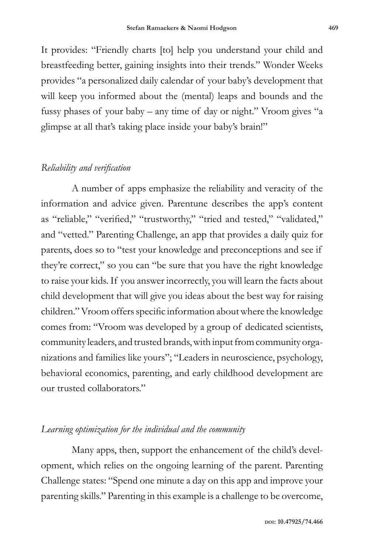It provides: "Friendly charts [to] help you understand your child and breastfeeding better, gaining insights into their trends." Wonder Weeks provides "a personalized daily calendar of your baby's development that will keep you informed about the (mental) leaps and bounds and the fussy phases of your baby – any time of day or night." Vroom gives "a glimpse at all that's taking place inside your baby's brain!"

## *Reliability and verification*

A number of apps emphasize the reliability and veracity of the information and advice given. Parentune describes the app's content as "reliable," "verified," "trustworthy," "tried and tested," "validated," and "vetted." Parenting Challenge, an app that provides a daily quiz for parents, does so to "test your knowledge and preconceptions and see if they're correct," so you can "be sure that you have the right knowledge to raise your kids. If you answer incorrectly, you will learn the facts about child development that will give you ideas about the best way for raising children." Vroom offers specific information about where the knowledge comes from: "Vroom was developed by a group of dedicated scientists, community leaders, and trusted brands, with input from community organizations and families like yours"; "Leaders in neuroscience, psychology, behavioral economics, parenting, and early childhood development are our trusted collaborators."

## *Learning optimization for the individual and the community*

Many apps, then, support the enhancement of the child's development, which relies on the ongoing learning of the parent. Parenting Challenge states: "Spend one minute a day on this app and improve your parenting skills." Parenting in this example is a challenge to be overcome,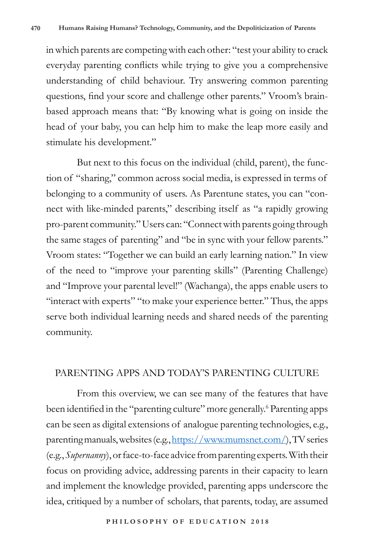in which parents are competing with each other: "test your ability to crack everyday parenting conflicts while trying to give you a comprehensive understanding of child behaviour. Try answering common parenting questions, find your score and challenge other parents." Vroom's brainbased approach means that: "By knowing what is going on inside the head of your baby, you can help him to make the leap more easily and stimulate his development."

But next to this focus on the individual (child, parent), the function of "sharing," common across social media, is expressed in terms of belonging to a community of users. As Parentune states, you can "connect with like-minded parents," describing itself as "a rapidly growing pro-parent community." Users can: "Connect with parents going through the same stages of parenting" and "be in sync with your fellow parents." Vroom states: "Together we can build an early learning nation." In view of the need to "improve your parenting skills" (Parenting Challenge) and "Improve your parental level!" (Wachanga), the apps enable users to "interact with experts" "to make your experience better." Thus, the apps serve both individual learning needs and shared needs of the parenting community.

#### PARENTING APPS AND TODAY'S PARENTING CULTURE

From this overview, we can see many of the features that have been identified in the "parenting culture" more generally.<sup>6</sup> Parenting apps can be seen as digital extensions of analogue parenting technologies, e.g., parenting manuals, websites (e.g., https://www.mumsnet.com/), TV series (e.g., *Supernanny*), or face-to-face advice from parenting experts. With their focus on providing advice, addressing parents in their capacity to learn and implement the knowledge provided, parenting apps underscore the idea, critiqued by a number of scholars, that parents, today, are assumed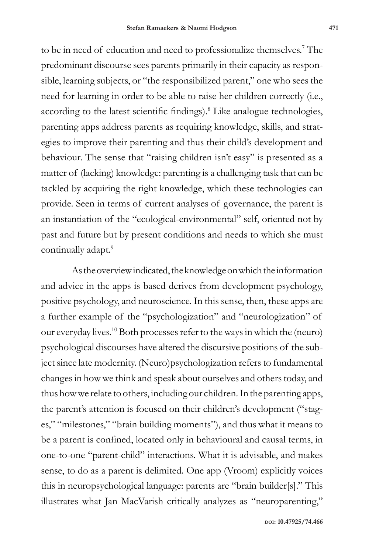to be in need of education and need to professionalize themselves.<sup>7</sup> The predominant discourse sees parents primarily in their capacity as responsible, learning subjects, or "the responsibilized parent," one who sees the need for learning in order to be able to raise her children correctly (i.e., according to the latest scientific findings).<sup>8</sup> Like analogue technologies, parenting apps address parents as requiring knowledge, skills, and strategies to improve their parenting and thus their child's development and behaviour. The sense that "raising children isn't easy" is presented as a matter of (lacking) knowledge: parenting is a challenging task that can be tackled by acquiring the right knowledge, which these technologies can provide. Seen in terms of current analyses of governance, the parent is an instantiation of the "ecological-environmental" self, oriented not by past and future but by present conditions and needs to which she must continually adapt.<sup>9</sup>

As the overview indicated, the knowledge on which the information and advice in the apps is based derives from development psychology, positive psychology, and neuroscience. In this sense, then, these apps are a further example of the "psychologization" and "neurologization" of our everyday lives.10 Both processes refer to the ways in which the (neuro) psychological discourses have altered the discursive positions of the subject since late modernity. (Neuro)psychologization refers to fundamental changes in how we think and speak about ourselves and others today, and thus how we relate to others, including our children. In the parenting apps, the parent's attention is focused on their children's development ("stages," "milestones," "brain building moments"), and thus what it means to be a parent is confined, located only in behavioural and causal terms, in one-to-one "parent-child" interactions. What it is advisable, and makes sense, to do as a parent is delimited. One app (Vroom) explicitly voices this in neuropsychological language: parents are "brain builder[s]." This illustrates what Jan MacVarish critically analyzes as "neuroparenting,"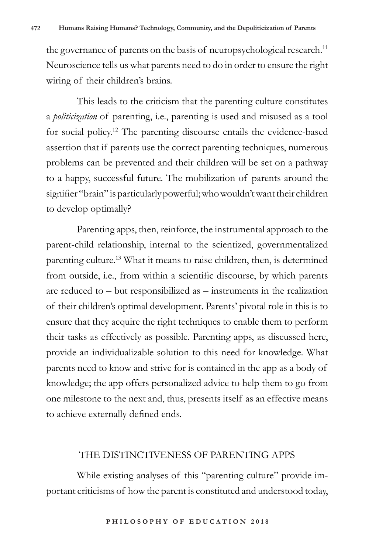the governance of parents on the basis of neuropsychological research.<sup>11</sup> Neuroscience tells us what parents need to do in order to ensure the right wiring of their children's brains.

This leads to the criticism that the parenting culture constitutes a *politicization* of parenting, i.e., parenting is used and misused as a tool for social policy.12 The parenting discourse entails the evidence-based assertion that if parents use the correct parenting techniques, numerous problems can be prevented and their children will be set on a pathway to a happy, successful future. The mobilization of parents around the signifier "brain" is particularly powerful; who wouldn't want their children to develop optimally?

Parenting apps, then, reinforce, the instrumental approach to the parent-child relationship, internal to the scientized, governmentalized parenting culture.13 What it means to raise children, then, is determined from outside, i.e., from within a scientific discourse, by which parents are reduced to – but responsibilized as – instruments in the realization of their children's optimal development. Parents' pivotal role in this is to ensure that they acquire the right techniques to enable them to perform their tasks as effectively as possible. Parenting apps, as discussed here, provide an individualizable solution to this need for knowledge. What parents need to know and strive for is contained in the app as a body of knowledge; the app offers personalized advice to help them to go from one milestone to the next and, thus, presents itself as an effective means to achieve externally defined ends.

#### THE DISTINCTIVENESS OF PARENTING APPS

While existing analyses of this "parenting culture" provide important criticisms of how the parent is constituted and understood today,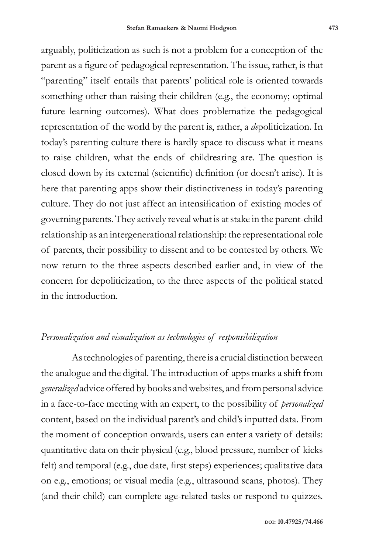arguably, politicization as such is not a problem for a conception of the parent as a figure of pedagogical representation. The issue, rather, is that "parenting" itself entails that parents' political role is oriented towards something other than raising their children (e.g., the economy; optimal future learning outcomes). What does problematize the pedagogical representation of the world by the parent is, rather, a *de*politicization. In today's parenting culture there is hardly space to discuss what it means to raise children, what the ends of childrearing are. The question is closed down by its external (scientific) definition (or doesn't arise). It is here that parenting apps show their distinctiveness in today's parenting culture. They do not just affect an intensification of existing modes of governing parents. They actively reveal what is at stake in the parent-child relationship as an intergenerational relationship: the representational role of parents, their possibility to dissent and to be contested by others. We now return to the three aspects described earlier and, in view of the concern for depoliticization, to the three aspects of the political stated in the introduction.

# *Personalization and visualization as technologies of responsibilization*

As technologies of parenting, there is a crucial distinction between the analogue and the digital. The introduction of apps marks a shift from *generalized* advice offered by books and websites, and from personal advice in a face-to-face meeting with an expert, to the possibility of *personalized* content, based on the individual parent's and child's inputted data. From the moment of conception onwards, users can enter a variety of details: quantitative data on their physical (e.g., blood pressure, number of kicks felt) and temporal (e.g., due date, first steps) experiences; qualitative data on e.g., emotions; or visual media (e.g., ultrasound scans, photos). They (and their child) can complete age-related tasks or respond to quizzes.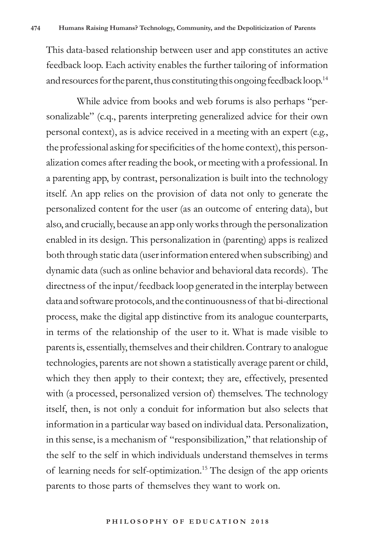This data-based relationship between user and app constitutes an active feedback loop. Each activity enables the further tailoring of information and resources for the parent, thus constituting this ongoing feedback loop.<sup>14</sup>

While advice from books and web forums is also perhaps "personalizable" (c.q., parents interpreting generalized advice for their own personal context), as is advice received in a meeting with an expert (e.g., the professional asking for specificities of the home context), this personalization comes after reading the book, or meeting with a professional. In a parenting app, by contrast, personalization is built into the technology itself. An app relies on the provision of data not only to generate the personalized content for the user (as an outcome of entering data), but also, and crucially, because an app only works through the personalization enabled in its design. This personalization in (parenting) apps is realized both through static data (user information entered when subscribing) and dynamic data (such as online behavior and behavioral data records). The directness of the input/feedback loop generated in the interplay between data and software protocols, and the continuousness of that bi-directional process, make the digital app distinctive from its analogue counterparts, in terms of the relationship of the user to it. What is made visible to parents is, essentially, themselves and their children. Contrary to analogue technologies, parents are not shown a statistically average parent or child, which they then apply to their context; they are, effectively, presented with (a processed, personalized version of) themselves. The technology itself, then, is not only a conduit for information but also selects that information in a particular way based on individual data. Personalization, in this sense, is a mechanism of "responsibilization," that relationship of the self to the self in which individuals understand themselves in terms of learning needs for self-optimization.15 The design of the app orients parents to those parts of themselves they want to work on.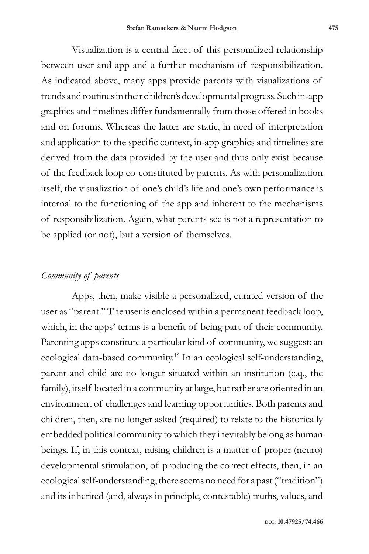Visualization is a central facet of this personalized relationship between user and app and a further mechanism of responsibilization. As indicated above, many apps provide parents with visualizations of trends and routines in their children's developmental progress. Such in-app graphics and timelines differ fundamentally from those offered in books and on forums. Whereas the latter are static, in need of interpretation and application to the specific context, in-app graphics and timelines are derived from the data provided by the user and thus only exist because of the feedback loop co-constituted by parents. As with personalization itself, the visualization of one's child's life and one's own performance is internal to the functioning of the app and inherent to the mechanisms of responsibilization. Again, what parents see is not a representation to be applied (or not), but a version of themselves.

# *Community of parents*

Apps, then, make visible a personalized, curated version of the user as "parent." The user is enclosed within a permanent feedback loop, which, in the apps' terms is a benefit of being part of their community. Parenting apps constitute a particular kind of community, we suggest: an ecological data-based community.16 In an ecological self-understanding, parent and child are no longer situated within an institution (c.q., the family), itself located in a community at large, but rather are oriented in an environment of challenges and learning opportunities. Both parents and children, then, are no longer asked (required) to relate to the historically embedded political community to which they inevitably belong as human beings. If, in this context, raising children is a matter of proper (neuro) developmental stimulation, of producing the correct effects, then, in an ecological self-understanding, there seems no need for a past ("tradition") and its inherited (and, always in principle, contestable) truths, values, and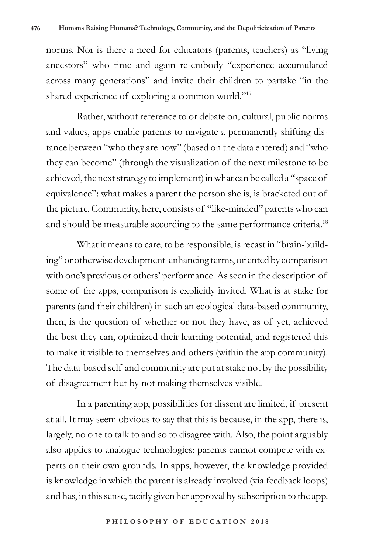norms. Nor is there a need for educators (parents, teachers) as "living ancestors" who time and again re-embody "experience accumulated across many generations" and invite their children to partake "in the shared experience of exploring a common world."<sup>17</sup>

Rather, without reference to or debate on, cultural, public norms and values, apps enable parents to navigate a permanently shifting distance between "who they are now" (based on the data entered) and "who they can become" (through the visualization of the next milestone to be achieved, the next strategy to implement) in what can be called a "space of equivalence": what makes a parent the person she is, is bracketed out of the picture. Community, here, consists of "like-minded" parents who can and should be measurable according to the same performance criteria.<sup>18</sup>

What it means to care, to be responsible, is recast in "brain-building" or otherwise development-enhancing terms, oriented by comparison with one's previous or others' performance. As seen in the description of some of the apps, comparison is explicitly invited. What is at stake for parents (and their children) in such an ecological data-based community, then, is the question of whether or not they have, as of yet, achieved the best they can, optimized their learning potential, and registered this to make it visible to themselves and others (within the app community). The data-based self and community are put at stake not by the possibility of disagreement but by not making themselves visible.

In a parenting app, possibilities for dissent are limited, if present at all. It may seem obvious to say that this is because, in the app, there is, largely, no one to talk to and so to disagree with. Also, the point arguably also applies to analogue technologies: parents cannot compete with experts on their own grounds. In apps, however, the knowledge provided is knowledge in which the parent is already involved (via feedback loops) and has, in this sense, tacitly given her approval by subscription to the app.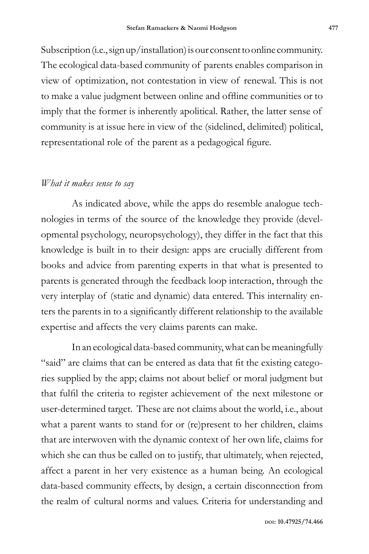Subscription (i.e., sign up/installation) is our consent to online community. The ecological data-based community of parents enables comparison in view of optimization, not contestation in view of renewal. This is not to make a value judgment between online and offline communities or to imply that the former is inherently apolitical. Rather, the latter sense of community is at issue here in view of the (sidelined, delimited) political, representational role of the parent as a pedagogical figure.

#### *What it makes sense to say*

As indicated above, while the apps do resemble analogue technologies in terms of the source of the knowledge they provide (developmental psychology, neuropsychology), they differ in the fact that this knowledge is built in to their design: apps are crucially different from books and advice from parenting experts in that what is presented to parents is generated through the feedback loop interaction, through the very interplay of (static and dynamic) data entered. This internality enters the parents in to a significantly different relationship to the available expertise and affects the very claims parents can make.

In an ecological data-based community, what can be meaningfully "said" are claims that can be entered as data that fit the existing categories supplied by the app; claims not about belief or moral judgment but that fulfil the criteria to register achievement of the next milestone or user-determined target. These are not claims about the world, i.e., about what a parent wants to stand for or (re)present to her children, claims that are interwoven with the dynamic context of her own life, claims for which she can thus be called on to justify, that ultimately, when rejected, affect a parent in her very existence as a human being. An ecological data-based community effects, by design, a certain disconnection from the realm of cultural norms and values. Criteria for understanding and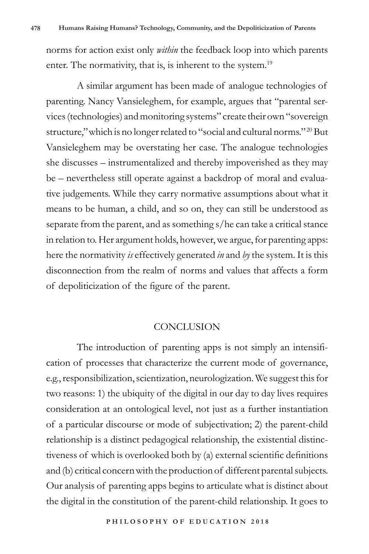norms for action exist only *within* the feedback loop into which parents enter. The normativity, that is, is inherent to the system.<sup>19</sup>

A similar argument has been made of analogue technologies of parenting. Nancy Vansieleghem, for example, argues that "parental services (technologies) and monitoring systems" create their own "sovereign structure,"which is no longer related to "social and cultural norms." 20 But Vansieleghem may be overstating her case. The analogue technologies she discusses – instrumentalized and thereby impoverished as they may be – nevertheless still operate against a backdrop of moral and evaluative judgements. While they carry normative assumptions about what it means to be human, a child, and so on, they can still be understood as separate from the parent, and as something s/he can take a critical stance in relation to. Her argument holds, however, we argue, for parenting apps: here the normativity *is* effectively generated *in* and *by* the system. It is this disconnection from the realm of norms and values that affects a form of depoliticization of the figure of the parent.

#### CONCLUSION

The introduction of parenting apps is not simply an intensification of processes that characterize the current mode of governance, e.g., responsibilization, scientization, neurologization. We suggest this for two reasons: 1) the ubiquity of the digital in our day to day lives requires consideration at an ontological level, not just as a further instantiation of a particular discourse or mode of subjectivation; 2) the parent-child relationship is a distinct pedagogical relationship, the existential distinctiveness of which is overlooked both by (a) external scientific definitions and (b) critical concern with the production of different parental subjects. Our analysis of parenting apps begins to articulate what is distinct about the digital in the constitution of the parent-child relationship. It goes to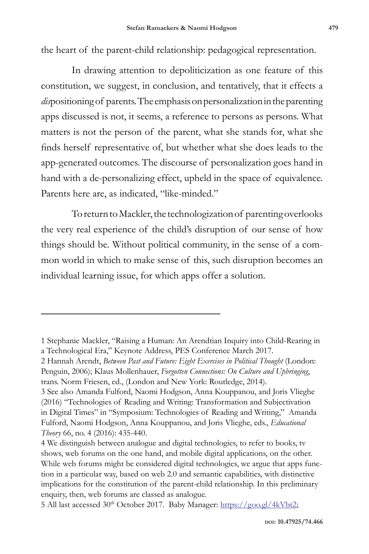the heart of the parent-child relationship: pedagogical representation.

In drawing attention to depoliticization as one feature of this constitution, we suggest, in conclusion, and tentatively, that it effects a *dis*positioning of parents. The emphasis on personalization in the parenting apps discussed is not, it seems, a reference to persons as persons. What matters is not the person of the parent, what she stands for, what she finds herself representative of, but whether what she does leads to the app-generated outcomes. The discourse of personalization goes hand in hand with a de-personalizing effect, upheld in the space of equivalence. Parents here are, as indicated, "like-minded."

To return to Mackler, the technologization of parenting overlooks the very real experience of the child's disruption of our sense of how things should be. Without political community, in the sense of a common world in which to make sense of this, such disruption becomes an individual learning issue, for which apps offer a solution.

<sup>1</sup> Stephanie Mackler, "Raising a Human: An Arendtian Inquiry into Child-Rearing in a Technological Era," Keynote Address, PES Conference March 2017.

<sup>2</sup> Hannah Arendt, *Between Past and Future: Eight Exercises in Political Thought* (London: Penguin, 2006); Klaus Mollenhauer, *Forgotten Connections: On Culture and Upbringing*, trans. Norm Friesen, ed., (London and New York: Routledge, 2014).

<sup>3</sup> See also Amanda Fulford, Naomi Hodgson, Anna Kouppanou, and Joris Vlieghe (2016) "Technologies of Reading and Writing: Transformation and Subjectivation in Digital Times" in "Symposium: Technologies of Reading and Writing," Amanda Fulford, Naomi Hodgson, Anna Kouppanou, and Joris Vlieghe, eds., *Educational Theory* 66, no. 4 (2016): 435-440.

<sup>4</sup> We distinguish between analogue and digital technologies, to refer to books, tv shows, web forums on the one hand, and mobile digital applications, on the other. While web forums might be considered digital technologies, we argue that apps function in a particular way, based on web 2.0 and semantic capabilities, with distinctive implications for the constitution of the parent-child relationship. In this preliminary enquiry, then, web forums are classed as analogue.

<sup>5</sup> All last accessed 30<sup>th</sup> October 2017. Baby Manager: https://goo.gl/4kVbt2;